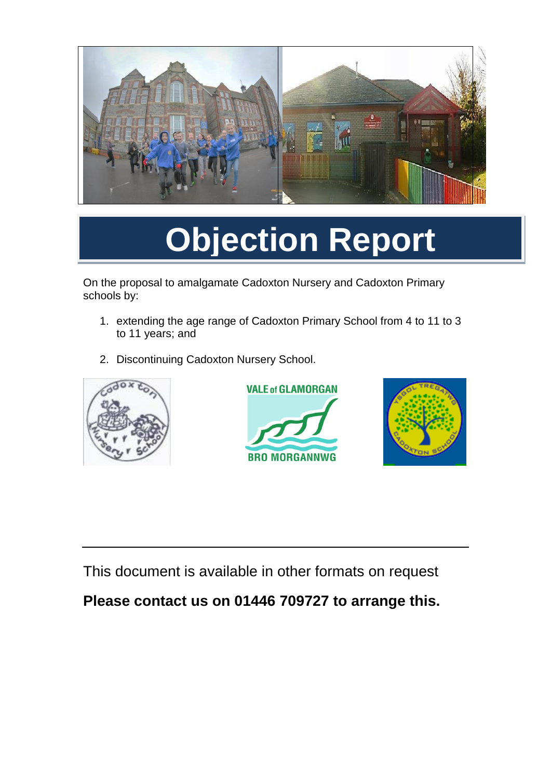

# **Objection Report**

On the proposal to amalgamate Cadoxton Nursery and Cadoxton Primary schools by:

- 1. extending the age range of Cadoxton Primary School from 4 to 11 to 3 to 11 years; and
- 2. Discontinuing Cadoxton Nursery School.







This document is available in other formats on request

### **Please contact us on 01446 709727 to arrange this.**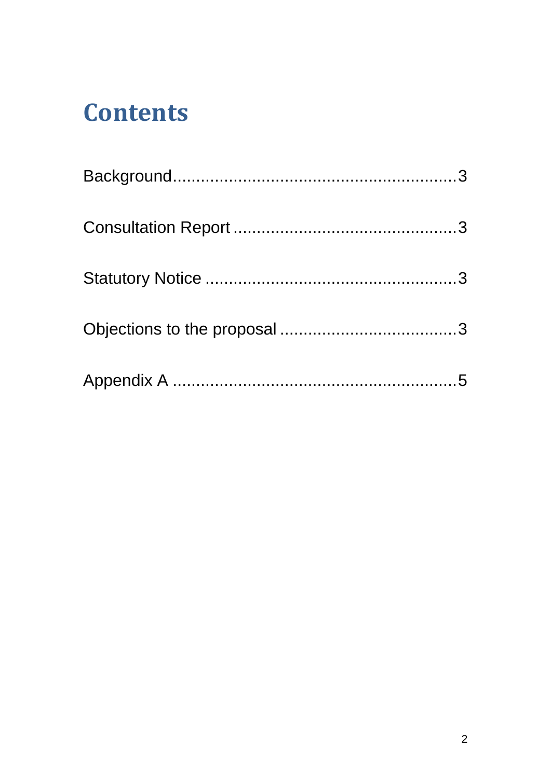## **Contents**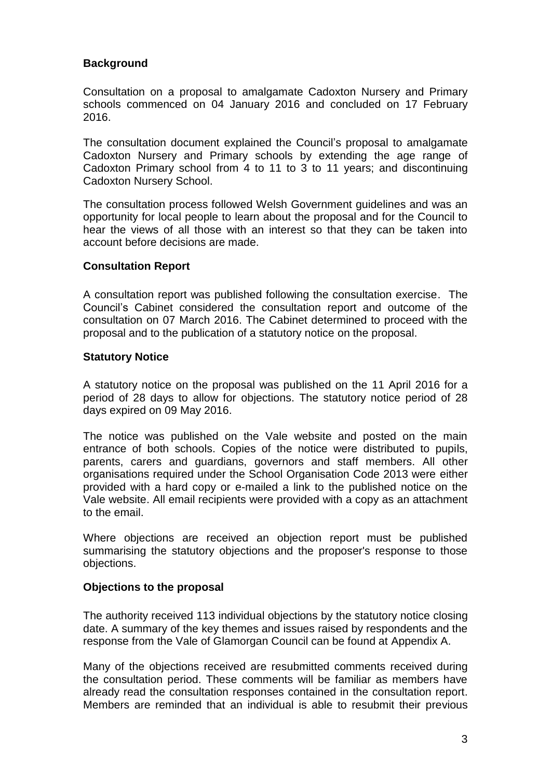#### <span id="page-2-0"></span>**Background**

Consultation on a proposal to amalgamate Cadoxton Nursery and Primary schools commenced on 04 January 2016 and concluded on 17 February 2016.

The consultation document explained the Council's proposal to amalgamate Cadoxton Nursery and Primary schools by extending the age range of Cadoxton Primary school from 4 to 11 to 3 to 11 years; and discontinuing Cadoxton Nursery School.

The consultation process followed Welsh Government guidelines and was an opportunity for local people to learn about the proposal and for the Council to hear the views of all those with an interest so that they can be taken into account before decisions are made.

#### <span id="page-2-1"></span>**Consultation Report**

A consultation report was published following the consultation exercise. The Council's Cabinet considered the consultation report and outcome of the consultation on 07 March 2016. The Cabinet determined to proceed with the proposal and to the publication of a statutory notice on the proposal.

#### <span id="page-2-2"></span>**Statutory Notice**

A statutory notice on the proposal was published on the 11 April 2016 for a period of 28 days to allow for objections. The statutory notice period of 28 days expired on 09 May 2016.

The notice was published on the Vale website and posted on the main entrance of both schools. Copies of the notice were distributed to pupils, parents, carers and guardians, governors and staff members. All other organisations required under the School Organisation Code 2013 were either provided with a hard copy or e-mailed a link to the published notice on the Vale website. All email recipients were provided with a copy as an attachment to the email.

Where objections are received an objection report must be published summarising the statutory objections and the proposer's response to those objections.

#### <span id="page-2-3"></span>**Objections to the proposal**

The authority received 113 individual objections by the statutory notice closing date. A summary of the key themes and issues raised by respondents and the response from the Vale of Glamorgan Council can be found at Appendix A.

Many of the objections received are resubmitted comments received during the consultation period. These comments will be familiar as members have already read the consultation responses contained in the consultation report. Members are reminded that an individual is able to resubmit their previous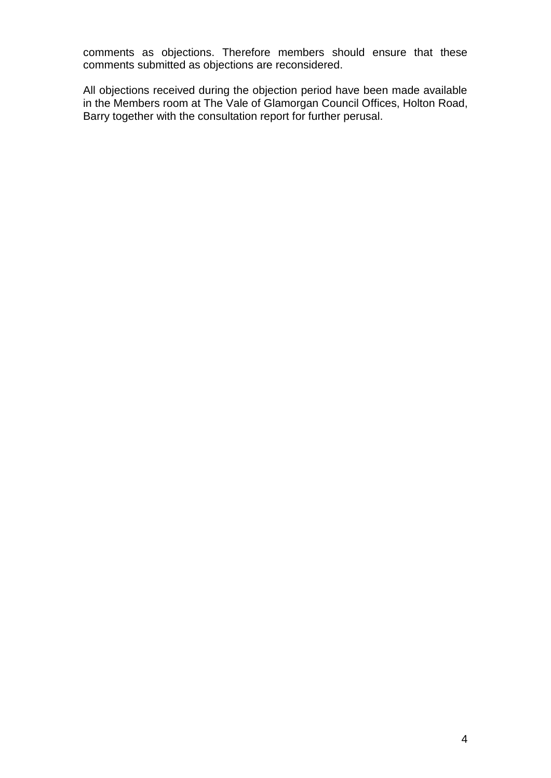comments as objections. Therefore members should ensure that these comments submitted as objections are reconsidered.

All objections received during the objection period have been made available in the Members room at The Vale of Glamorgan Council Offices, Holton Road, Barry together with the consultation report for further perusal.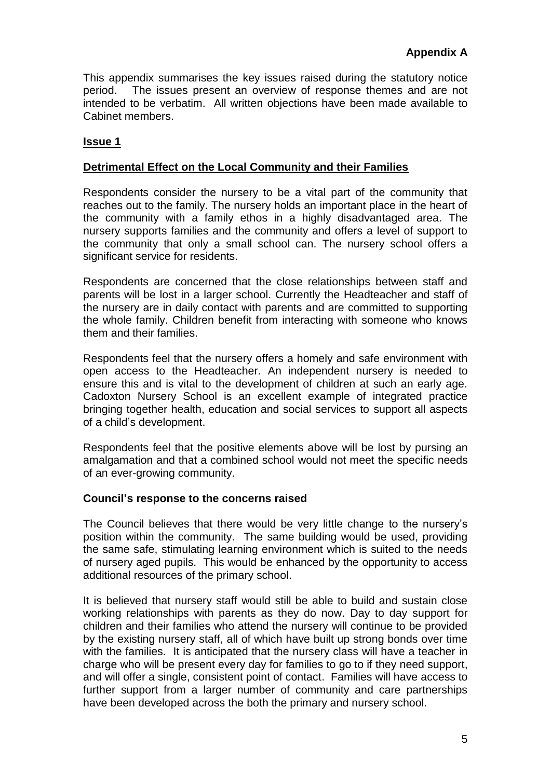<span id="page-4-0"></span>This appendix summarises the key issues raised during the statutory notice period. The issues present an overview of response themes and are not intended to be verbatim. All written objections have been made available to Cabinet members.

#### **Issue 1**

#### **Detrimental Effect on the Local Community and their Families**

Respondents consider the nursery to be a vital part of the community that reaches out to the family. The nursery holds an important place in the heart of the community with a family ethos in a highly disadvantaged area. The nursery supports families and the community and offers a level of support to the community that only a small school can. The nursery school offers a significant service for residents.

Respondents are concerned that the close relationships between staff and parents will be lost in a larger school. Currently the Headteacher and staff of the nursery are in daily contact with parents and are committed to supporting the whole family. Children benefit from interacting with someone who knows them and their families.

Respondents feel that the nursery offers a homely and safe environment with open access to the Headteacher. An independent nursery is needed to ensure this and is vital to the development of children at such an early age. Cadoxton Nursery School is an excellent example of integrated practice bringing together health, education and social services to support all aspects of a child's development.

Respondents feel that the positive elements above will be lost by pursing an amalgamation and that a combined school would not meet the specific needs of an ever-growing community.

#### **Council's response to the concerns raised**

The Council believes that there would be very little change to the nursery's position within the community. The same building would be used, providing the same safe, stimulating learning environment which is suited to the needs of nursery aged pupils. This would be enhanced by the opportunity to access additional resources of the primary school.

It is believed that nursery staff would still be able to build and sustain close working relationships with parents as they do now. Day to day support for children and their families who attend the nursery will continue to be provided by the existing nursery staff, all of which have built up strong bonds over time with the families. It is anticipated that the nursery class will have a teacher in charge who will be present every day for families to go to if they need support, and will offer a single, consistent point of contact. Families will have access to further support from a larger number of community and care partnerships have been developed across the both the primary and nursery school.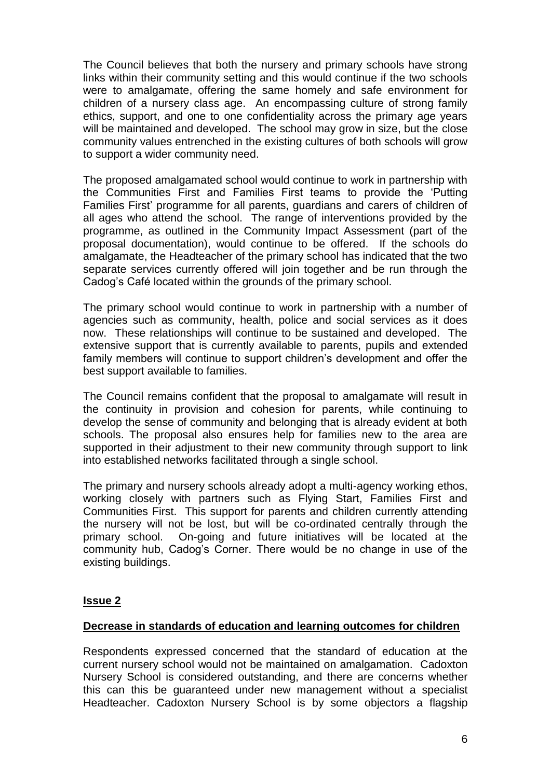The Council believes that both the nursery and primary schools have strong links within their community setting and this would continue if the two schools were to amalgamate, offering the same homely and safe environment for children of a nursery class age. An encompassing culture of strong family ethics, support, and one to one confidentiality across the primary age years will be maintained and developed. The school may grow in size, but the close community values entrenched in the existing cultures of both schools will grow to support a wider community need.

The proposed amalgamated school would continue to work in partnership with the Communities First and Families First teams to provide the 'Putting Families First' programme for all parents, guardians and carers of children of all ages who attend the school. The range of interventions provided by the programme, as outlined in the Community Impact Assessment (part of the proposal documentation), would continue to be offered. If the schools do amalgamate, the Headteacher of the primary school has indicated that the two separate services currently offered will join together and be run through the Cadog's Café located within the grounds of the primary school.

The primary school would continue to work in partnership with a number of agencies such as community, health, police and social services as it does now. These relationships will continue to be sustained and developed. The extensive support that is currently available to parents, pupils and extended family members will continue to support children's development and offer the best support available to families.

The Council remains confident that the proposal to amalgamate will result in the continuity in provision and cohesion for parents, while continuing to develop the sense of community and belonging that is already evident at both schools. The proposal also ensures help for families new to the area are supported in their adjustment to their new community through support to link into established networks facilitated through a single school.

The primary and nursery schools already adopt a multi-agency working ethos, working closely with partners such as Flying Start, Families First and Communities First. This support for parents and children currently attending the nursery will not be lost, but will be co-ordinated centrally through the primary school. On-going and future initiatives will be located at the community hub, Cadog's Corner. There would be no change in use of the existing buildings.

#### **Issue 2**

#### **Decrease in standards of education and learning outcomes for children**

Respondents expressed concerned that the standard of education at the current nursery school would not be maintained on amalgamation. Cadoxton Nursery School is considered outstanding, and there are concerns whether this can this be guaranteed under new management without a specialist Headteacher. Cadoxton Nursery School is by some objectors a flagship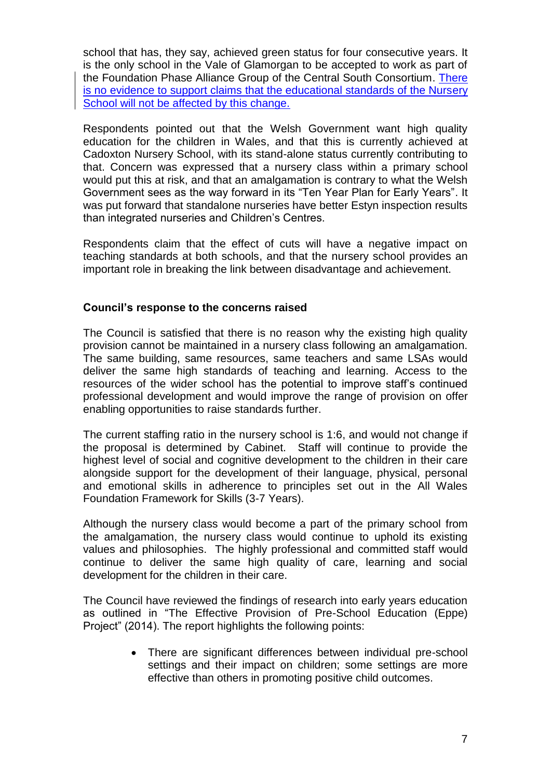school that has, they say, achieved green status for four consecutive years. It is the only school in the Vale of Glamorgan to be accepted to work as part of the Foundation Phase Alliance Group of the Central South Consortium. There is no evidence to support claims that the educational standards of the Nursery School will not be affected by this change.

Respondents pointed out that the Welsh Government want high quality education for the children in Wales, and that this is currently achieved at Cadoxton Nursery School, with its stand-alone status currently contributing to that. Concern was expressed that a nursery class within a primary school would put this at risk, and that an amalgamation is contrary to what the Welsh Government sees as the way forward in its "Ten Year Plan for Early Years". It was put forward that standalone nurseries have better Estyn inspection results than integrated nurseries and Children's Centres.

Respondents claim that the effect of cuts will have a negative impact on teaching standards at both schools, and that the nursery school provides an important role in breaking the link between disadvantage and achievement.

#### **Council's response to the concerns raised**

The Council is satisfied that there is no reason why the existing high quality provision cannot be maintained in a nursery class following an amalgamation. The same building, same resources, same teachers and same LSAs would deliver the same high standards of teaching and learning. Access to the resources of the wider school has the potential to improve staff's continued professional development and would improve the range of provision on offer enabling opportunities to raise standards further.

The current staffing ratio in the nursery school is 1:6, and would not change if the proposal is determined by Cabinet. Staff will continue to provide the highest level of social and cognitive development to the children in their care alongside support for the development of their language, physical, personal and emotional skills in adherence to principles set out in the All Wales Foundation Framework for Skills (3-7 Years).

Although the nursery class would become a part of the primary school from the amalgamation, the nursery class would continue to uphold its existing values and philosophies. The highly professional and committed staff would continue to deliver the same high quality of care, learning and social development for the children in their care.

The Council have reviewed the findings of research into early years education as outlined in "The Effective Provision of Pre-School Education (Eppe) Project" (2014). The report highlights the following points:

> There are significant differences between individual pre-school settings and their impact on children; some settings are more effective than others in promoting positive child outcomes.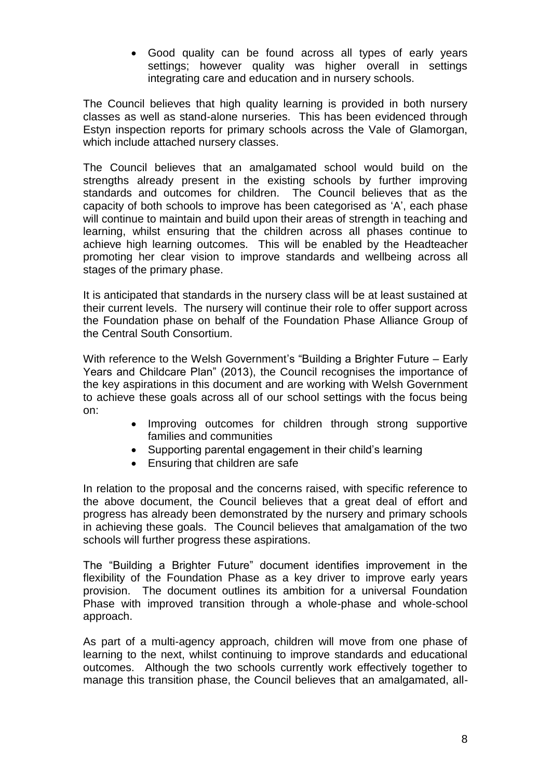Good quality can be found across all types of early years settings; however quality was higher overall in settings integrating care and education and in nursery schools.

The Council believes that high quality learning is provided in both nursery classes as well as stand-alone nurseries. This has been evidenced through Estyn inspection reports for primary schools across the Vale of Glamorgan, which include attached nursery classes.

The Council believes that an amalgamated school would build on the strengths already present in the existing schools by further improving standards and outcomes for children. The Council believes that as the capacity of both schools to improve has been categorised as 'A', each phase will continue to maintain and build upon their areas of strength in teaching and learning, whilst ensuring that the children across all phases continue to achieve high learning outcomes. This will be enabled by the Headteacher promoting her clear vision to improve standards and wellbeing across all stages of the primary phase.

It is anticipated that standards in the nursery class will be at least sustained at their current levels. The nursery will continue their role to offer support across the Foundation phase on behalf of the Foundation Phase Alliance Group of the Central South Consortium.

With reference to the Welsh Government's "Building a Brighter Future – Early Years and Childcare Plan" (2013), the Council recognises the importance of the key aspirations in this document and are working with Welsh Government to achieve these goals across all of our school settings with the focus being on:

- Improving outcomes for children through strong supportive families and communities
- Supporting parental engagement in their child's learning
- Ensuring that children are safe

In relation to the proposal and the concerns raised, with specific reference to the above document, the Council believes that a great deal of effort and progress has already been demonstrated by the nursery and primary schools in achieving these goals. The Council believes that amalgamation of the two schools will further progress these aspirations.

The "Building a Brighter Future" document identifies improvement in the flexibility of the Foundation Phase as a key driver to improve early years provision. The document outlines its ambition for a universal Foundation Phase with improved transition through a whole-phase and whole-school approach.

As part of a multi-agency approach, children will move from one phase of learning to the next, whilst continuing to improve standards and educational outcomes. Although the two schools currently work effectively together to manage this transition phase, the Council believes that an amalgamated, all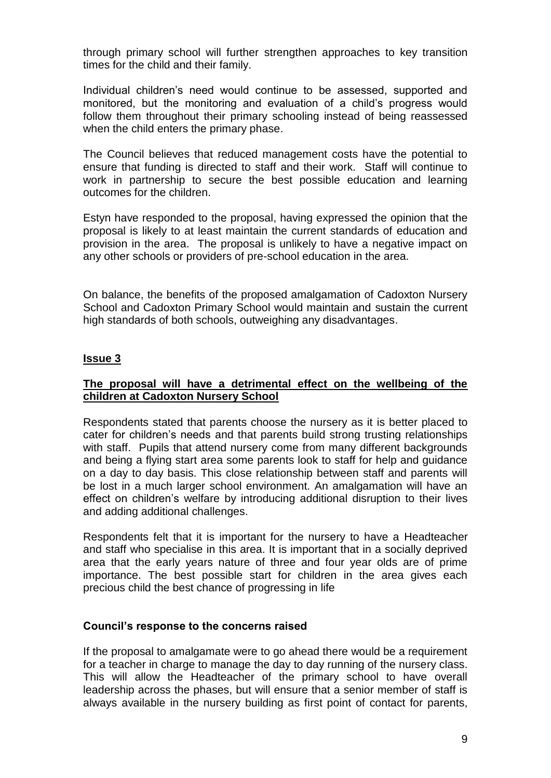through primary school will further strengthen approaches to key transition times for the child and their family.

Individual children's need would continue to be assessed, supported and monitored, but the monitoring and evaluation of a child's progress would follow them throughout their primary schooling instead of being reassessed when the child enters the primary phase.

The Council believes that reduced management costs have the potential to ensure that funding is directed to staff and their work. Staff will continue to work in partnership to secure the best possible education and learning outcomes for the children.

Estyn have responded to the proposal, having expressed the opinion that the proposal is likely to at least maintain the current standards of education and provision in the area. The proposal is unlikely to have a negative impact on any other schools or providers of pre-school education in the area.

On balance, the benefits of the proposed amalgamation of Cadoxton Nursery School and Cadoxton Primary School would maintain and sustain the current high standards of both schools, outweighing any disadvantages.

#### **Issue 3**

#### **The proposal will have a detrimental effect on the wellbeing of the children at Cadoxton Nursery School**

Respondents stated that parents choose the nursery as it is better placed to cater for children's needs and that parents build strong trusting relationships with staff. Pupils that attend nursery come from many different backgrounds and being a flying start area some parents look to staff for help and guidance on a day to day basis. This close relationship between staff and parents will be lost in a much larger school environment. An amalgamation will have an effect on children's welfare by introducing additional disruption to their lives and adding additional challenges.

Respondents felt that it is important for the nursery to have a Headteacher and staff who specialise in this area. It is important that in a socially deprived area that the early years nature of three and four year olds are of prime importance. The best possible start for children in the area gives each precious child the best chance of progressing in life

#### **Council's response to the concerns raised**

If the proposal to amalgamate were to go ahead there would be a requirement for a teacher in charge to manage the day to day running of the nursery class. This will allow the Headteacher of the primary school to have overall leadership across the phases, but will ensure that a senior member of staff is always available in the nursery building as first point of contact for parents,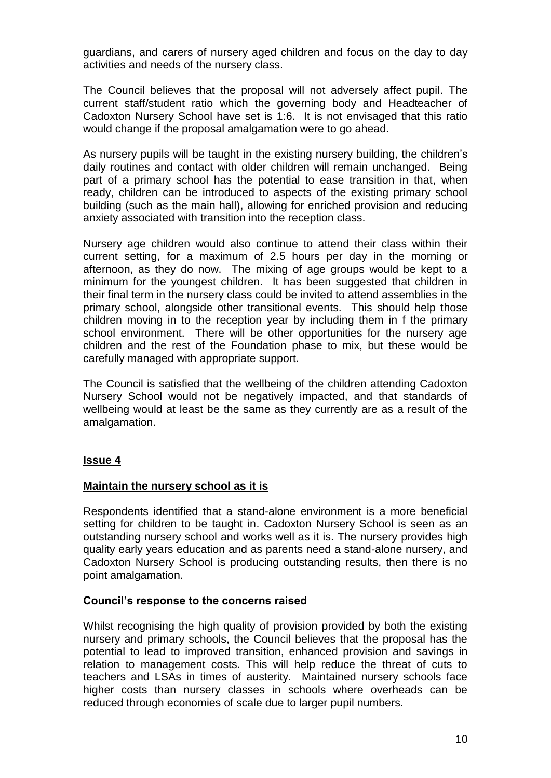guardians, and carers of nursery aged children and focus on the day to day activities and needs of the nursery class.

The Council believes that the proposal will not adversely affect pupil. The current staff/student ratio which the governing body and Headteacher of Cadoxton Nursery School have set is 1:6. It is not envisaged that this ratio would change if the proposal amalgamation were to go ahead.

As nursery pupils will be taught in the existing nursery building, the children's daily routines and contact with older children will remain unchanged. Being part of a primary school has the potential to ease transition in that, when ready, children can be introduced to aspects of the existing primary school building (such as the main hall), allowing for enriched provision and reducing anxiety associated with transition into the reception class.

Nursery age children would also continue to attend their class within their current setting, for a maximum of 2.5 hours per day in the morning or afternoon, as they do now. The mixing of age groups would be kept to a minimum for the youngest children. It has been suggested that children in their final term in the nursery class could be invited to attend assemblies in the primary school, alongside other transitional events. This should help those children moving in to the reception year by including them in f the primary school environment. There will be other opportunities for the nursery age children and the rest of the Foundation phase to mix, but these would be carefully managed with appropriate support.

The Council is satisfied that the wellbeing of the children attending Cadoxton Nursery School would not be negatively impacted, and that standards of wellbeing would at least be the same as they currently are as a result of the amalgamation.

#### **Issue 4**

#### **Maintain the nursery school as it is**

Respondents identified that a stand-alone environment is a more beneficial setting for children to be taught in. Cadoxton Nursery School is seen as an outstanding nursery school and works well as it is. The nursery provides high quality early years education and as parents need a stand-alone nursery, and Cadoxton Nursery School is producing outstanding results, then there is no point amalgamation.

#### **Council's response to the concerns raised**

Whilst recognising the high quality of provision provided by both the existing nursery and primary schools, the Council believes that the proposal has the potential to lead to improved transition, enhanced provision and savings in relation to management costs. This will help reduce the threat of cuts to teachers and LSAs in times of austerity. Maintained nursery schools face higher costs than nursery classes in schools where overheads can be reduced through economies of scale due to larger pupil numbers.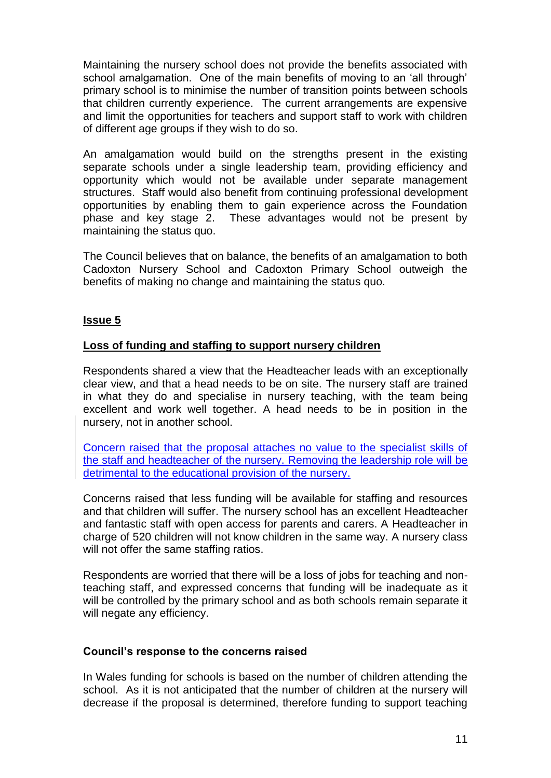Maintaining the nursery school does not provide the benefits associated with school amalgamation. One of the main benefits of moving to an 'all through' primary school is to minimise the number of transition points between schools that children currently experience. The current arrangements are expensive and limit the opportunities for teachers and support staff to work with children of different age groups if they wish to do so.

An amalgamation would build on the strengths present in the existing separate schools under a single leadership team, providing efficiency and opportunity which would not be available under separate management structures. Staff would also benefit from continuing professional development opportunities by enabling them to gain experience across the Foundation phase and key stage 2. These advantages would not be present by maintaining the status quo.

The Council believes that on balance, the benefits of an amalgamation to both Cadoxton Nursery School and Cadoxton Primary School outweigh the benefits of making no change and maintaining the status quo.

#### **Issue 5**

#### **Loss of funding and staffing to support nursery children**

Respondents shared a view that the Headteacher leads with an exceptionally clear view, and that a head needs to be on site. The nursery staff are trained in what they do and specialise in nursery teaching, with the team being excellent and work well together. A head needs to be in position in the nursery, not in another school.

Concern raised that the proposal attaches no value to the specialist skills of the staff and headteacher of the nursery. Removing the leadership role will be detrimental to the educational provision of the nursery.

Concerns raised that less funding will be available for staffing and resources and that children will suffer. The nursery school has an excellent Headteacher and fantastic staff with open access for parents and carers. A Headteacher in charge of 520 children will not know children in the same way. A nursery class will not offer the same staffing ratios.

Respondents are worried that there will be a loss of jobs for teaching and nonteaching staff, and expressed concerns that funding will be inadequate as it will be controlled by the primary school and as both schools remain separate it will negate any efficiency.

#### **Council's response to the concerns raised**

In Wales funding for schools is based on the number of children attending the school. As it is not anticipated that the number of children at the nursery will decrease if the proposal is determined, therefore funding to support teaching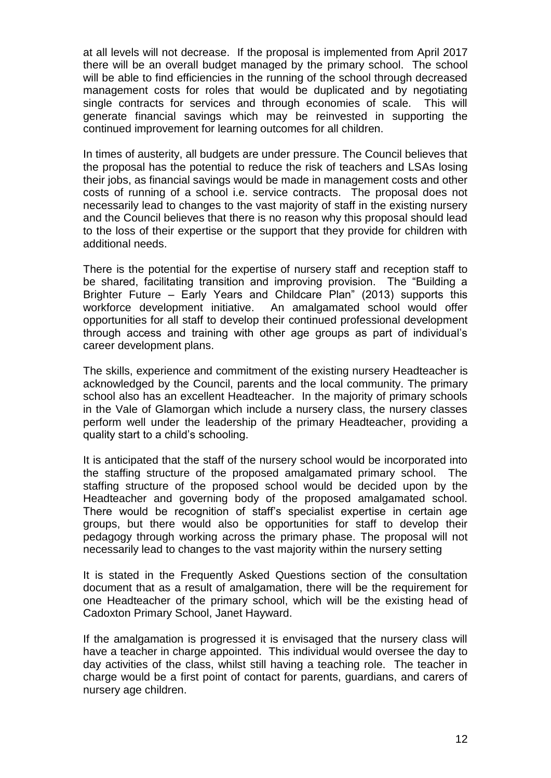at all levels will not decrease. If the proposal is implemented from April 2017 there will be an overall budget managed by the primary school. The school will be able to find efficiencies in the running of the school through decreased management costs for roles that would be duplicated and by negotiating single contracts for services and through economies of scale. This will generate financial savings which may be reinvested in supporting the continued improvement for learning outcomes for all children.

In times of austerity, all budgets are under pressure. The Council believes that the proposal has the potential to reduce the risk of teachers and LSAs losing their jobs, as financial savings would be made in management costs and other costs of running of a school i.e. service contracts. The proposal does not necessarily lead to changes to the vast majority of staff in the existing nursery and the Council believes that there is no reason why this proposal should lead to the loss of their expertise or the support that they provide for children with additional needs.

There is the potential for the expertise of nursery staff and reception staff to be shared, facilitating transition and improving provision. The "Building a Brighter Future – Early Years and Childcare Plan" (2013) supports this workforce development initiative. An amalgamated school would offer opportunities for all staff to develop their continued professional development through access and training with other age groups as part of individual's career development plans.

The skills, experience and commitment of the existing nursery Headteacher is acknowledged by the Council, parents and the local community. The primary school also has an excellent Headteacher. In the majority of primary schools in the Vale of Glamorgan which include a nursery class, the nursery classes perform well under the leadership of the primary Headteacher, providing a quality start to a child's schooling.

It is anticipated that the staff of the nursery school would be incorporated into the staffing structure of the proposed amalgamated primary school. The staffing structure of the proposed school would be decided upon by the Headteacher and governing body of the proposed amalgamated school. There would be recognition of staff's specialist expertise in certain age groups, but there would also be opportunities for staff to develop their pedagogy through working across the primary phase. The proposal will not necessarily lead to changes to the vast majority within the nursery setting

It is stated in the Frequently Asked Questions section of the consultation document that as a result of amalgamation, there will be the requirement for one Headteacher of the primary school, which will be the existing head of Cadoxton Primary School, Janet Hayward.

If the amalgamation is progressed it is envisaged that the nursery class will have a teacher in charge appointed. This individual would oversee the day to day activities of the class, whilst still having a teaching role. The teacher in charge would be a first point of contact for parents, guardians, and carers of nursery age children.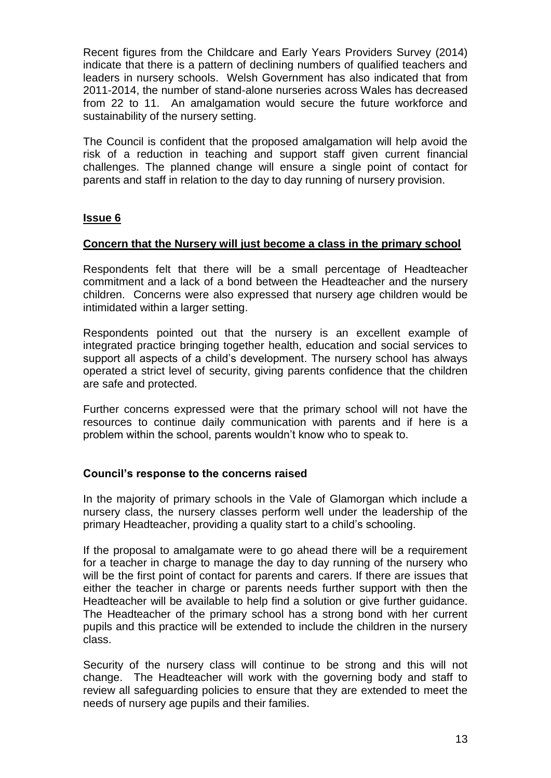Recent figures from the Childcare and Early Years Providers Survey (2014) indicate that there is a pattern of declining numbers of qualified teachers and leaders in nursery schools. Welsh Government has also indicated that from 2011-2014, the number of stand-alone nurseries across Wales has decreased from 22 to 11. An amalgamation would secure the future workforce and sustainability of the nursery setting.

The Council is confident that the proposed amalgamation will help avoid the risk of a reduction in teaching and support staff given current financial challenges. The planned change will ensure a single point of contact for parents and staff in relation to the day to day running of nursery provision.

#### **Issue 6**

#### **Concern that the Nursery will just become a class in the primary school**

Respondents felt that there will be a small percentage of Headteacher commitment and a lack of a bond between the Headteacher and the nursery children. Concerns were also expressed that nursery age children would be intimidated within a larger setting.

Respondents pointed out that the nursery is an excellent example of integrated practice bringing together health, education and social services to support all aspects of a child's development. The nursery school has always operated a strict level of security, giving parents confidence that the children are safe and protected.

Further concerns expressed were that the primary school will not have the resources to continue daily communication with parents and if here is a problem within the school, parents wouldn't know who to speak to.

#### **Council's response to the concerns raised**

In the majority of primary schools in the Vale of Glamorgan which include a nursery class, the nursery classes perform well under the leadership of the primary Headteacher, providing a quality start to a child's schooling.

If the proposal to amalgamate were to go ahead there will be a requirement for a teacher in charge to manage the day to day running of the nursery who will be the first point of contact for parents and carers. If there are issues that either the teacher in charge or parents needs further support with then the Headteacher will be available to help find a solution or give further guidance. The Headteacher of the primary school has a strong bond with her current pupils and this practice will be extended to include the children in the nursery class.

Security of the nursery class will continue to be strong and this will not change. The Headteacher will work with the governing body and staff to review all safeguarding policies to ensure that they are extended to meet the needs of nursery age pupils and their families.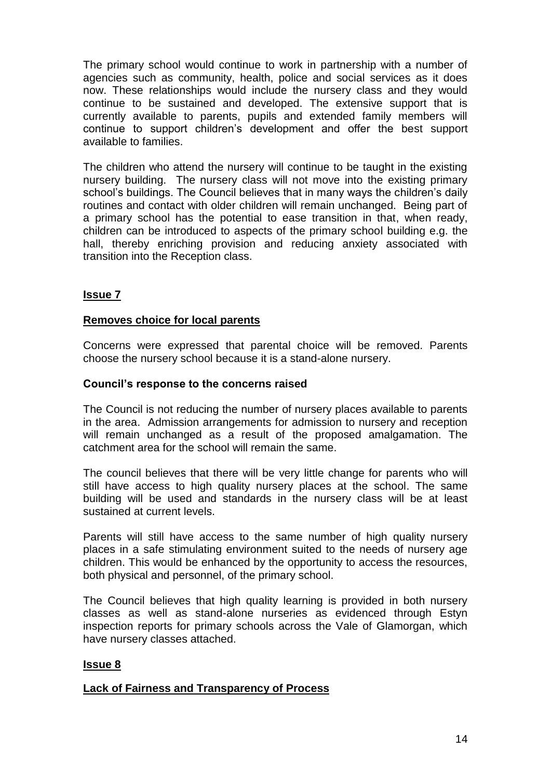The primary school would continue to work in partnership with a number of agencies such as community, health, police and social services as it does now. These relationships would include the nursery class and they would continue to be sustained and developed. The extensive support that is currently available to parents, pupils and extended family members will continue to support children's development and offer the best support available to families.

The children who attend the nursery will continue to be taught in the existing nursery building. The nursery class will not move into the existing primary school's buildings. The Council believes that in many ways the children's daily routines and contact with older children will remain unchanged. Being part of a primary school has the potential to ease transition in that, when ready, children can be introduced to aspects of the primary school building e.g. the hall, thereby enriching provision and reducing anxiety associated with transition into the Reception class.

#### **Issue 7**

#### **Removes choice for local parents**

Concerns were expressed that parental choice will be removed. Parents choose the nursery school because it is a stand-alone nursery.

#### **Council's response to the concerns raised**

The Council is not reducing the number of nursery places available to parents in the area. Admission arrangements for admission to nursery and reception will remain unchanged as a result of the proposed amalgamation. The catchment area for the school will remain the same.

The council believes that there will be very little change for parents who will still have access to high quality nursery places at the school. The same building will be used and standards in the nursery class will be at least sustained at current levels.

Parents will still have access to the same number of high quality nursery places in a safe stimulating environment suited to the needs of nursery age children. This would be enhanced by the opportunity to access the resources, both physical and personnel, of the primary school.

The Council believes that high quality learning is provided in both nursery classes as well as stand-alone nurseries as evidenced through Estyn inspection reports for primary schools across the Vale of Glamorgan, which have nursery classes attached.

#### **Issue 8**

#### **Lack of Fairness and Transparency of Process**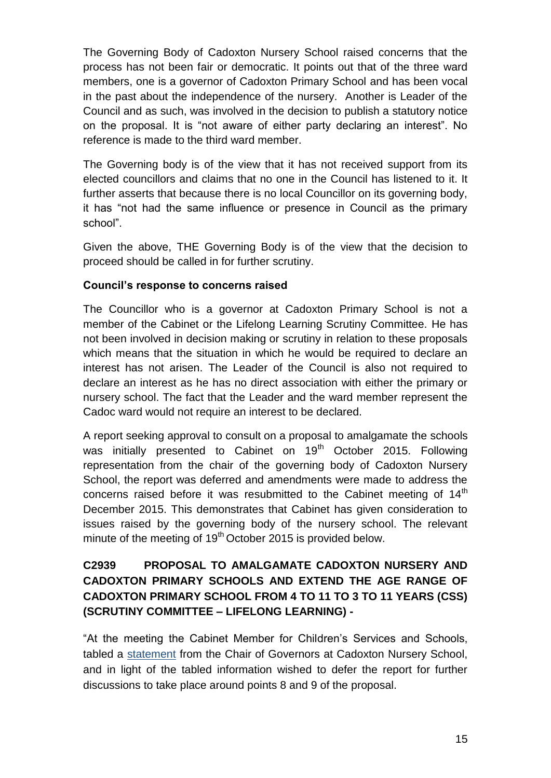The Governing Body of Cadoxton Nursery School raised concerns that the process has not been fair or democratic. It points out that of the three ward members, one is a governor of Cadoxton Primary School and has been vocal in the past about the independence of the nursery. Another is Leader of the Council and as such, was involved in the decision to publish a statutory notice on the proposal. It is "not aware of either party declaring an interest". No reference is made to the third ward member.

The Governing body is of the view that it has not received support from its elected councillors and claims that no one in the Council has listened to it. It further asserts that because there is no local Councillor on its governing body, it has "not had the same influence or presence in Council as the primary school".

Given the above, THE Governing Body is of the view that the decision to proceed should be called in for further scrutiny.

#### **Council's response to concerns raised**

The Councillor who is a governor at Cadoxton Primary School is not a member of the Cabinet or the Lifelong Learning Scrutiny Committee. He has not been involved in decision making or scrutiny in relation to these proposals which means that the situation in which he would be required to declare an interest has not arisen. The Leader of the Council is also not required to declare an interest as he has no direct association with either the primary or nursery school. The fact that the Leader and the ward member represent the Cadoc ward would not require an interest to be declared.

A report seeking approval to consult on a proposal to amalgamate the schools was initially presented to Cabinet on 19<sup>th</sup> October 2015. Following representation from the chair of the governing body of Cadoxton Nursery School, the report was deferred and amendments were made to address the concerns raised before it was resubmitted to the Cabinet meeting of  $14<sup>th</sup>$ December 2015. This demonstrates that Cabinet has given consideration to issues raised by the governing body of the nursery school. The relevant minute of the meeting of  $19<sup>th</sup>$  October 2015 is provided below.

#### **C2939 PROPOSAL TO AMALGAMATE CADOXTON NURSERY AND CADOXTON PRIMARY SCHOOLS AND EXTEND THE AGE RANGE OF CADOXTON PRIMARY SCHOOL FROM 4 TO 11 TO 3 TO 11 YEARS (CSS) (SCRUTINY COMMITTEE – LIFELONG LEARNING) -**

"At the meeting the Cabinet Member for Children's Services and Schools, tabled a [statement](http://www.valeofglamorgan.gov.uk/Documents/_Committee%20Reports/Cabinet/2015/15-10-19/Proposal-to-amalgamate-Cadoxton-Nursery-and-Cadoxton-Primary-schools-Additional-Statement.pdf) from the Chair of Governors at Cadoxton Nursery School, and in light of the tabled information wished to defer the report for further discussions to take place around points 8 and 9 of the proposal.